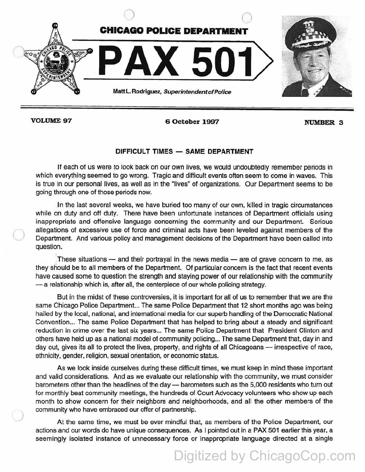

)

*)* 

VOLUME 97 6 October 1997 NUMBER 3

## DIFFICULT TIMES - SAME DEPARTMENT

If each of us were to look back on our own lives, we would undoubtedly remember periods in which everything seemed to go wrong. Tragic and difficult events often seem to come in waves. This is true in our personal lives, as well as in the "lives" of organizations. Our Department seems to be going through one of those periods now.

In the last several weeks, we have buried too many of our own, killed in tragic circumstances while on duty and off duty. There have been unfortunate instances of Department officials using inappropriate and offensive language concerning the community and our Department. Serious allegations of excessive use of force and criminal acts have been leveled against members of the Department. And various policy and management decisions of the Department have been called into question.

These situations  $-$  and their portrayal in the news media  $-$  are of grave concern to me, as they should be to all members of the Department. Of particular concern is the fact that recent events have caused some to question the strength and staying power of our relationship with the community - a relationship which is, after all, the centerpiece of our whole policing strategy.

But in the midst of these controversies, it is important for all of us to remember that we are the same Chicago Police Department... The same Police Department that 12 short months ago was being hailed by the local, national, and international media for our superb handling of the Democratic National Convention... The same Police Department that has helped to bring about a steady and significant reduction in crime over the last six years ... The same Police Department that President Clinton and others have held up as a national model of community policing... The same Department that, day in and day out, gives its all to protect the lives, property, and rights of all Chicagoans — irrespective of race, ethnicity, gender, religion, sexual orientation, or economic status.

As we look inside ourselves during these difficult times, we must keep in mind these important and valid considerations. And as we evaluate our relationship with the community, we must consider barometers other than the headlines of the day - barometers such as the 5,000 residents who turn out for monthly beat community meetings, the hundreds of Court Advocacy volunteers who show up each month to show concern for their neighbors and neighborhoods, and all the other members of the community who have embraced our offer of partnership.

At the same time, we must be ever mindful that, as members of the Police Department, our actions and our words do have unique consequences. As I pointed out in a PAX 501 earlier this year, a seemingly isolated instance of unnecessary force or inappropriate language directed at a single